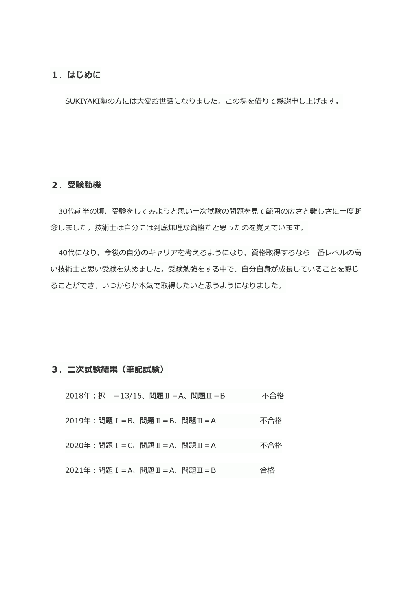# 1. はじめに

SUKIYAKI塾の方には大変お世話になりました。この場を借りて感謝申し上げます。

## 2. 受験動機

30代前半の頃、受験をしてみようと思い一次試験の問題を見て範囲の広さと難しさに一度断 念しました。技術士は自分には到底無理な資格だと思ったのを覚えています。

40代になり、今後の自分のキャリアを考えるようになり、資格取得するなら一番レベルの高 い技術士と思い受験を決めました。受験勉強をする中で、自分自身が成長していることを感じ ることができ、いつからか本気で取得したいと思うようになりました。

## 3. 二次試験結果 (筆記試験)

| 2018年: 択一=13/15、問題 II = A、問題 II = B | 不合格 |
|-------------------------------------|-----|
| 2019年: 問題 I = B、問題 II = B、問題 II = A | 不合格 |
| 2020年: 問題 I = C、問題 I = A、問題 II = A  | 不合格 |
| 2021年:問題 I =A、問題 I =A、問題 II =B      | 合格  |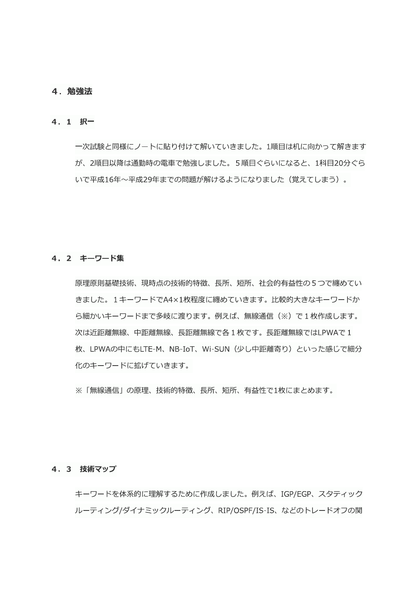## 4. 勉強法

### 4. 1 択一

一次試験と同様にノートに貼り付けて解いていきました。1順目は机に向かって解きます が、2順目以降は通勤時の電車で勉強しました。5順目ぐらいになると、1科目20分ぐら いで平成16年~平成29年までの問題が解けるようになりました(覚えてしまう)。

### 4. 2 キーワード集

原理原則基礎技術、現時点の技術的特徴、長所、短所、社会的有益性の5つで纏めてい きました。1キーワードでA4×1枚程度に纏めていきます。比較的大きなキーワードか ら細かいキーワードまで多岐に渡ります。例えば、無線通信(※)で1枚作成します。 次は近距離無線、中距離無線、長距離無線で各1枚です。長距離無線ではLPWAで1 枚、LPWAの中にもLTE-M、NB-IoT、Wi-SUN(少し中距離寄り)といった感じで細分 化のキーワードに拡げていきます。

※「無線通信」の原理、技術的特徴、長所、短所、有益性で1枚にまとめます。

#### 4.3 技術マップ

キーワードを体系的に理解するために作成しました。例えば、IGP/EGP、スタティック ルーティング/ダイナミックルーティング、RIP/OSPF/IS-IS、などのトレードオフの関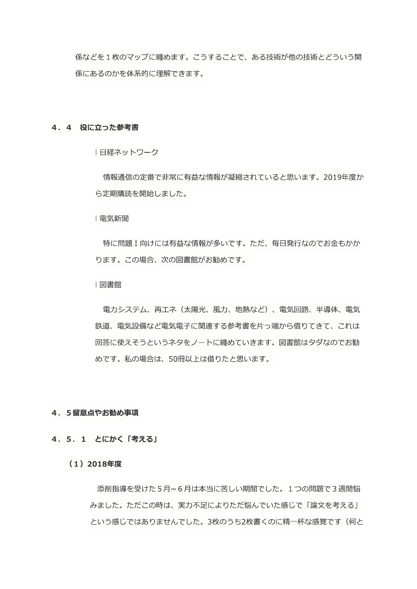係などを1枚のマップに纏めます。こうすることで、ある技術が他の技術とどういう関 係にあるのかを体系的に理解できます。

#### 4. 4 役に立った参考書

|日経ネットワーク

情報通信の定番で非常に有益な情報が凝縮されていると思います。2019年度か ら定期購読を開始しました。

| 電気新聞

特に問題I向けには有益な情報が多いです。ただ、毎日発行なのでお金もかか ります。この場合、次の図書館がお勧めです。

|図書館

電力システム、再工ネ(太陽光、風力、地熱など)、電気回路、半導体、電気 鉄道、電気設備など電気電子に関連する参考書を片っ端から借りてきて、これは 回答に使えそうというネタをノートに纏めていきます。図書館はタダなのでお勧 めです。私の場合は、50冊以上は借りたと思います。

#### 4. 5留意点やお勧め事項

#### 4. 5. 1 とにかく「考える」

## (1) 2018年度

添削指導を受けた5月~6月は本当に苦しい期間でした。1つの問題で3週間悩 みました。ただこの時は、実力不足によりただ悩んでいた感じで「論文を考える」 という感じではありませんでした。3枚のうち2枚書くのに精一杯な感覚です(何と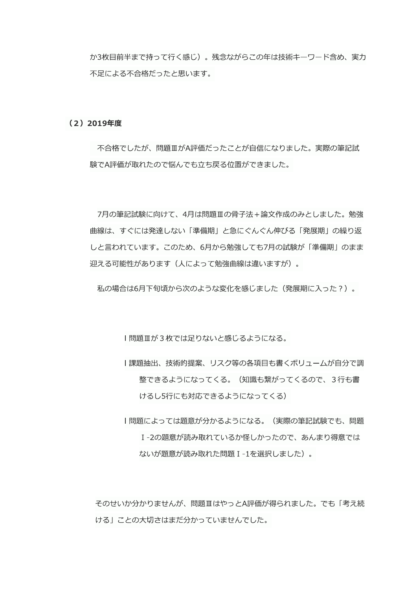か3枚目前半まで持って行く感じ)。残念ながらこの年は技術キーワード含め、実力 不足による不合格だったと思います。

## (2) 2019年度

不合格でしたが、問題ⅢがA評価だったことが自信になりました。実際の筆記試 験でA評価が取れたので悩んでも立ち戻る位置ができました。

7月の筆記試験に向けて、4月は問題Ⅲの骨子法+論文作成のみとしました。勉強 曲線は、すぐには発達しない「準備期」と急にぐんぐん伸びる「発展期」の繰り返 しと言われています。このため、6月から勉強しても7月の試験が「準備期」のまま 迎える可能性があります(人によって勉強曲線は違いますが)。

私の場合は6月下旬頃から次のような変化を感じました(発展期に入った?)。

|問題Ⅲが3枚では足りないと感じるようになる。

- |課題抽出、技術的提案、リスク等の各項目も書くボリュームが自分で調 整できるようになってくる。(知識も繋がってくるので、3行も書 けるし5行にも対応できるようになってくる)
- |問題によっては題意が分かるようになる。(実際の筆記試験でも、問題 I-2の題意が読み取れているか怪しかったので、あんまり得意では ないが題意が読み取れた問題 I-1を選択しました)。

そのせいか分かりませんが、問題ⅢはやっとA評価が得られました。でも「考え続 ける」ことの大切さはまだ分かっていませんでした。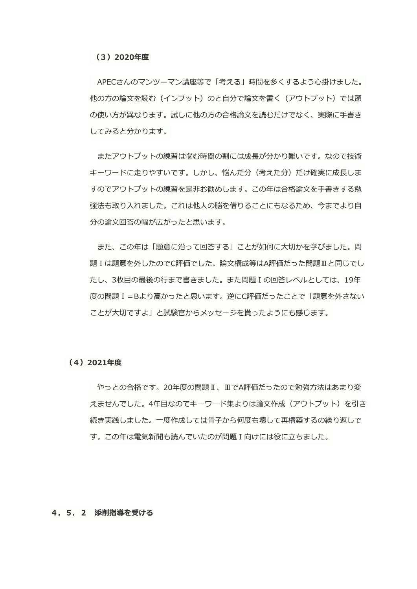APECさんのマンツーマン講座等で「考える」時間を多くするよう心掛けました。 他の方の論文を読む(インプット)のと自分で論文を書く(アウトプット)では頭 の使い方が異なります。試しに他の方の合格論文を読むだけでなく、実際に手書き してみると分かります。

またアウトプットの練習は悩む時間の割には成長が分かり難いです。なので技術 キーワードに走りやすいです。しかし、悩んだ分(考えた分)だけ確実に成長しま すのでアウトプットの練習を是非お勧めします。この年は合格論文を手書きする勉 強法も取り入れました。これは他人の脳を借りることにもなるため、今までより自 分の論文回答の幅が広がったと思います。

また、この年は「題意に沿って回答する」ことが如何に大切かを学びました。問 題Iは題意を外したのでC評価でした。論文構成等はA評価だった問題Ⅲと同じでし たし、3枚目の最後の行まで書きました。また問題 I の回答レベルとしては、19年 度の問題I=Bより高かったと思います。逆にC評価だったことで「題意を外さない ことが大切ですよ| と試験官からメッセージを貰ったようにも感じます。

#### (4) 2021年度

やっとの合格です。20年度の問題Ⅱ、ⅢでA評価だったので勉強方法はあまり変 えませんでした。4年目なのでキーワード集よりは論文作成(アウトプット)を引き 続き実践しました。一度作成しては骨子から何度も壊して再構築するの繰り返しで す。この年は電気新聞も読んでいたのが問題I向けには役に立ちました。

#### 4. 5. 2 添削指導を受ける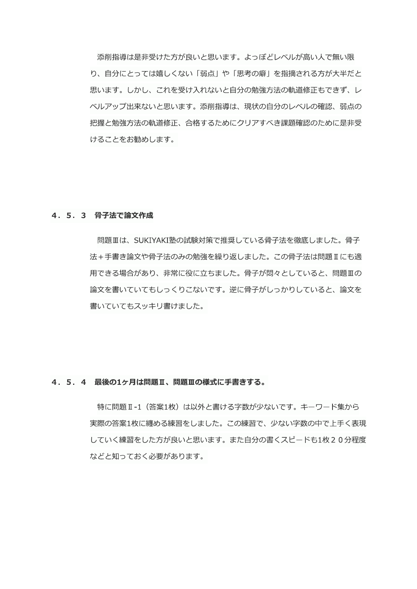添削指導は是非受けた方が良いと思います。よっぽどレベルが高い人で無い限 り、自分にとっては嬉しくない「弱点」や「思考の癖」を指摘される方が大半だと 思います。しかし、これを受け入れないと自分の勉強方法の軌道修正もできず、レ ベルアップ出来ないと思います。添削指導は、現状の自分のレベルの確認、弱点の 把握と勉強方法の軌道修正、合格するためにクリアすべき課題確認のために是非受 けることをお勧めします。

### 4. 5. 3 骨子法で論文作成

問題Ⅲは、SUKIYAKI塾の試験対策で推奨している骨子法を徹底しました。骨子 法+手書き論文や骨子法のみの勉強を繰り返しました。この骨子法は問題IIにも適 用できる場合があり、非常に役に立ちました。骨子が悶々としていると、問題Ⅲの 論文を書いていてもしっくりこないです。逆に骨子がしっかりしていると、論文を 書いていてもスッキリ書けました。

## 4. 5. 4 最後の1ヶ月は問題Ⅱ、問題Ⅲの様式に手書きする。

特に問題I-1 (答案1枚)は以外と書ける字数が少ないです。キーワード集から 実際の答案1枚に纏める練習をしました。この練習で、少ない字数の中で上手く表現 していく練習をした方が良いと思います。また自分の書くスピードも1枚20分程度 などと知っておく必要があります。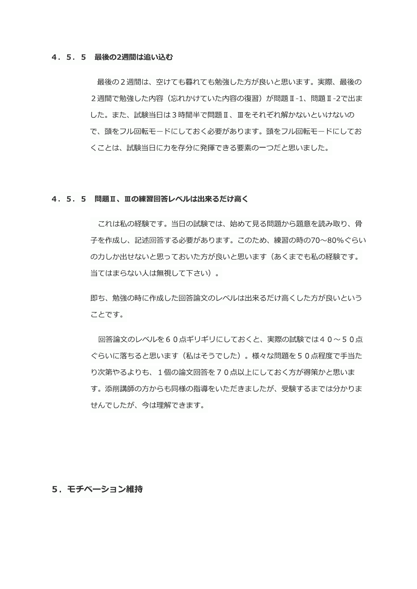#### 4. 5. 5 最後の2週間は追い込む

最後の2週間は、空けても暮れても勉強した方が良いと思います。実際、最後の 2週間で勉強した内容(忘れかけていた内容の復習)が問題 I-1、問題 I-2で出ま した。また、試験当日は3時間半で問題 II、 IIをそれぞれ解かないといけないの で、頭をフル回転モードにしておく必要があります。頭をフル回転モードにしてお くことは、試験当日に力を存分に発揮できる要素の一つだと思いました。

#### 4. 5. 5 問題Ⅱ、Ⅲの練習回答レベルは出来るだけ高く

これは私の経験です。当日の試験では、始めて見る問題から題意を読み取り、骨 子を作成し、記述回答する必要があります。このため、練習の時の70~80%ぐらい の力しか出せないと思っておいた方が良いと思います(あくまでも私の経験です。 当てはまらない人は無視して下さい)。

即ち、勉強の時に作成した回答論文のレベルは出来るだけ高くした方が良いという ことです。

回答論文のレベルを60点ギリギリにしておくと、実際の試験では40~50点 ぐらいに落ちると思います(私はそうでした)。様々な問題を50点程度で手当た り次第やるよりも、1個の論文回答を70点以上にしておく方が得策かと思いま す。添削講師の方からも同様の指導をいただきましたが、受験するまでは分かりま せんでしたが、今は理解できます。

## 5. モチベーション維持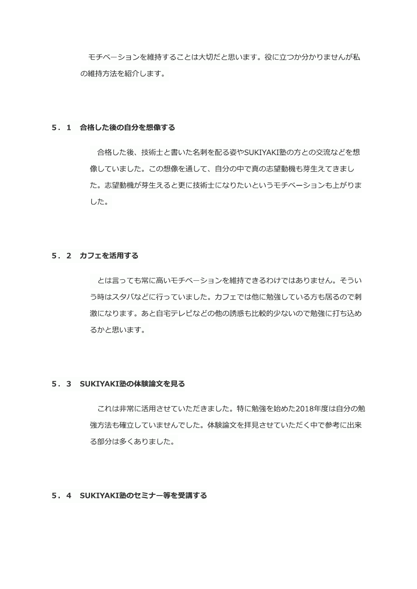モチベーションを維持することは大切だと思います。役に立つか分かりませんが私 の維持方法を紹介します。

## 5. 1 合格した後の自分を想像する

合格した後、技術士と書いた名刺を配る姿やSUKIYAKI塾の方との交流などを想 像していました。この想像を通して、自分の中で真の志望動機も芽生えてきまし た。志望動機が芽生えると更に技術士になりたいというモチベーションも上がりま した。

## 5. 2 カフェを活用する

とは言っても常に高いモチベーションを維持できるわけではありません。そうい う時はスタバなどに行っていました。カフェでは他に勉強している方も居るので刺 激になります。あと自宅テレビなどの他の誘惑も比較的少ないので勉強に打ち込め るかと思います。

### 5. 3 SUKIYAKI塾の体験論文を見る

これは非常に活用させていただきました。特に勉強を始めた2018年度は自分の勉 強方法も確立していませんでした。体験論文を拝見させていただく中で参考に出来 る部分は多くありました。

## 5. 4 SUKIYAKI塾のセミナー等を受講する